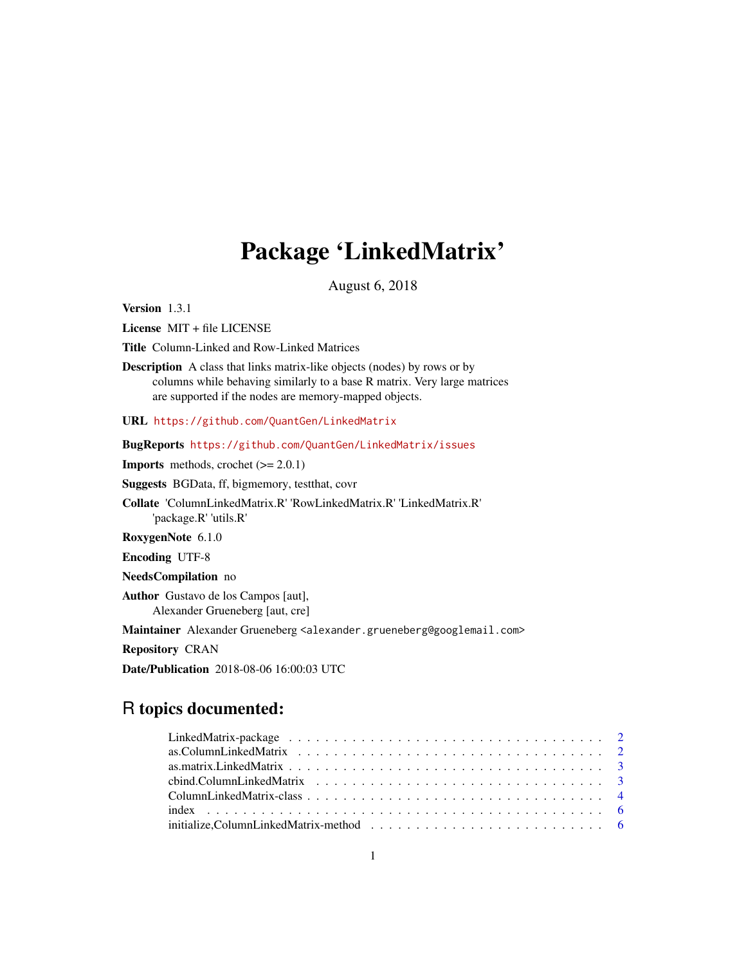# Package 'LinkedMatrix'

August 6, 2018

<span id="page-0-0"></span>Version 1.3.1

License MIT + file LICENSE

Title Column-Linked and Row-Linked Matrices

Description A class that links matrix-like objects (nodes) by rows or by columns while behaving similarly to a base R matrix. Very large matrices are supported if the nodes are memory-mapped objects.

URL <https://github.com/QuantGen/LinkedMatrix>

BugReports <https://github.com/QuantGen/LinkedMatrix/issues>

**Imports** methods, crochet  $(>= 2.0.1)$ 

Suggests BGData, ff, bigmemory, testthat, covr

Collate 'ColumnLinkedMatrix.R' 'RowLinkedMatrix.R' 'LinkedMatrix.R' 'package.R' 'utils.R'

RoxygenNote 6.1.0

Encoding UTF-8

NeedsCompilation no

Author Gustavo de los Campos [aut], Alexander Grueneberg [aut, cre]

Maintainer Alexander Grueneberg <alexander.grueneberg@googlemail.com>

Repository CRAN

Date/Publication 2018-08-06 16:00:03 UTC

# R topics documented: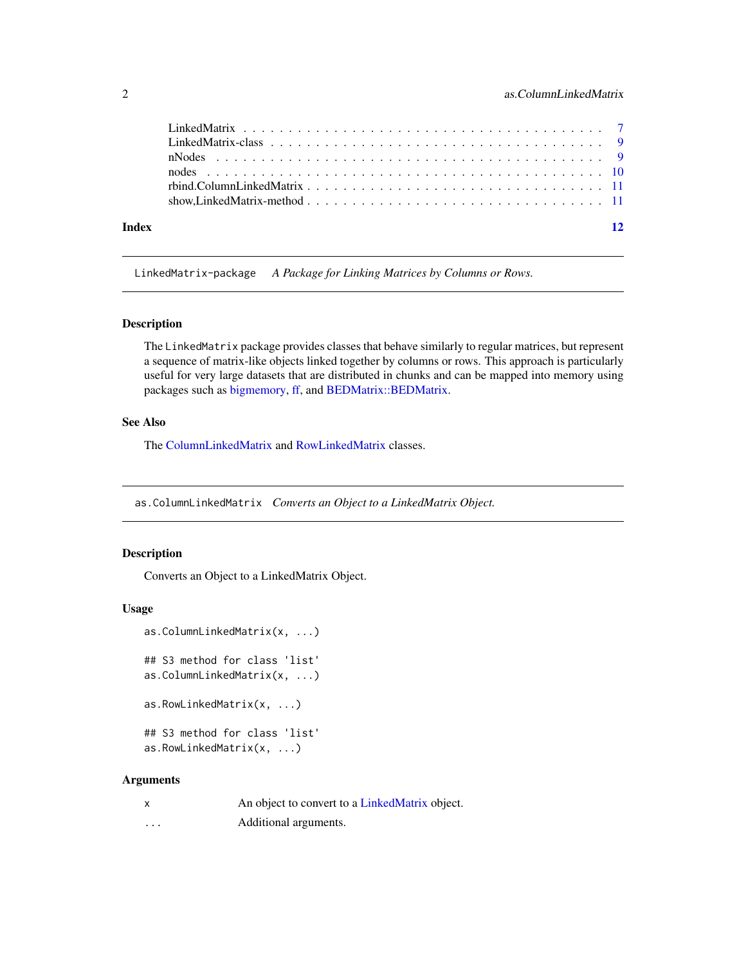<span id="page-1-0"></span>

| Index | $\overline{12}$ |
|-------|-----------------|
|       |                 |
|       |                 |
|       |                 |
|       |                 |
|       |                 |
|       |                 |

LinkedMatrix-package *A Package for Linking Matrices by Columns or Rows.*

#### Description

The LinkedMatrix package provides classes that behave similarly to regular matrices, but represent a sequence of matrix-like objects linked together by columns or rows. This approach is particularly useful for very large datasets that are distributed in chunks and can be mapped into memory using packages such as [bigmemory,](#page-0-0) [ff,](#page-0-0) and [BEDMatrix::BEDMatrix.](#page-0-0)

# See Also

The [ColumnLinkedMatrix](#page-3-1) and [RowLinkedMatrix](#page-3-2) classes.

<span id="page-1-1"></span>as.ColumnLinkedMatrix *Converts an Object to a LinkedMatrix Object.*

#### Description

Converts an Object to a LinkedMatrix Object.

#### Usage

```
as.ColumnLinkedMatrix(x, ...)
## S3 method for class 'list'
as.ColumnLinkedMatrix(x, ...)
as.RowLinkedMatrix(x, ...)
## S3 method for class 'list'
as.RowLinkedMatrix(x, ...)
```
#### Arguments

| $\boldsymbol{\mathsf{x}}$ | An object to convert to a LinkedMatrix object. |
|---------------------------|------------------------------------------------|
| .                         | Additional arguments.                          |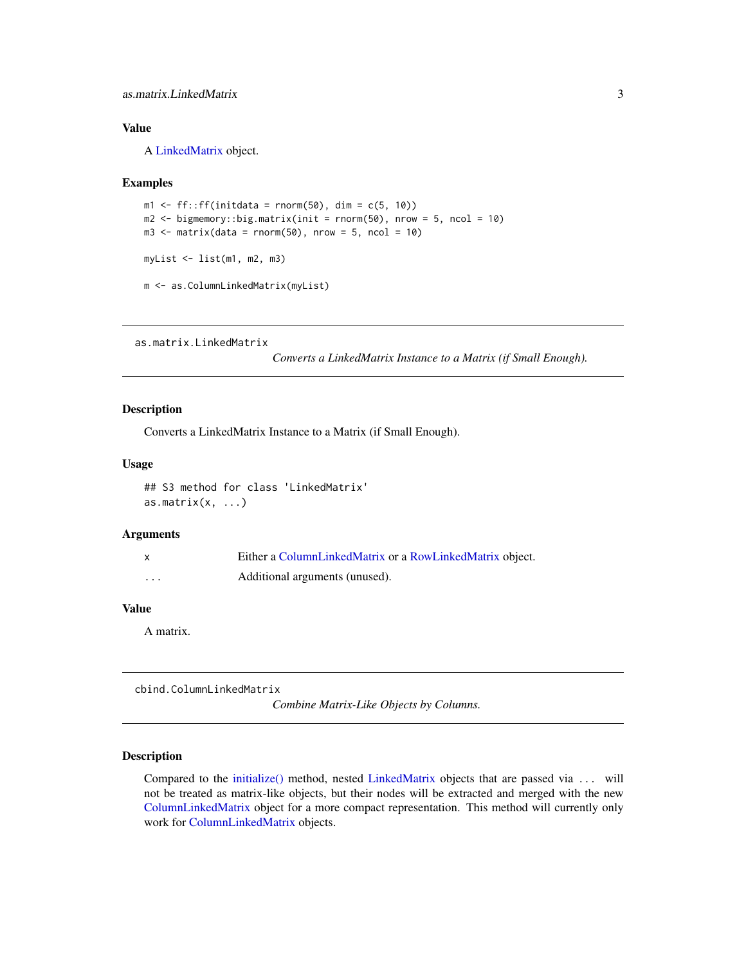# <span id="page-2-0"></span>as.matrix.LinkedMatrix 3

# Value

A [LinkedMatrix](#page-8-1) object.

#### Examples

```
m1 \leq-ff: ff(initdata = rnorm(50), dim = c(5, 10))
m2 \le - bigmemory::big.matrix(init = rnorm(50), nrow = 5, ncol = 10)
m3 \le matrix(data = rnorm(50), nrow = 5, ncol = 10)
myList <- list(m1, m2, m3)
m <- as.ColumnLinkedMatrix(myList)
```
as.matrix.LinkedMatrix

*Converts a LinkedMatrix Instance to a Matrix (if Small Enough).*

# Description

Converts a LinkedMatrix Instance to a Matrix (if Small Enough).

#### Usage

```
## S3 method for class 'LinkedMatrix'
as.matrix(x, \ldots)
```
#### Arguments

| X       | Either a ColumnLinkedMatrix or a RowLinkedMatrix object. |
|---------|----------------------------------------------------------|
| $\cdot$ | Additional arguments (unused).                           |

# Value

A matrix.

cbind.ColumnLinkedMatrix

*Combine Matrix-Like Objects by Columns.*

#### Description

Compared to the [initialize\(\)](#page-5-1) method, nested [LinkedMatrix](#page-8-1) objects that are passed via ... will not be treated as matrix-like objects, but their nodes will be extracted and merged with the new [ColumnLinkedMatrix](#page-3-1) object for a more compact representation. This method will currently only work for [ColumnLinkedMatrix](#page-3-1) objects.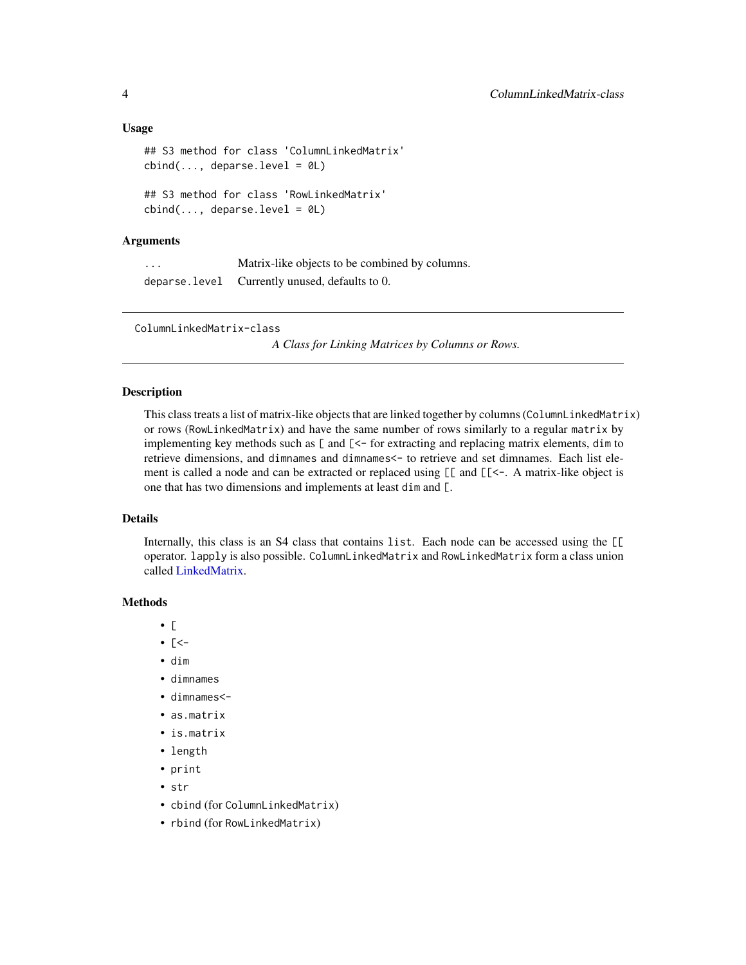#### <span id="page-3-0"></span>Usage

```
## S3 method for class 'ColumnLinkedMatrix'
cbind(..., deparse.level = 0L)## S3 method for class 'RowLinkedMatrix'
cbind(..., deparse.level = <math>0L</math>)
```
# Arguments

... Matrix-like objects to be combined by columns. deparse.level Currently unused, defaults to 0.

<span id="page-3-1"></span>ColumnLinkedMatrix-class

*A Class for Linking Matrices by Columns or Rows.*

#### <span id="page-3-2"></span>Description

This class treats a list of matrix-like objects that are linked together by columns (ColumnLinkedMatrix) or rows (RowLinkedMatrix) and have the same number of rows similarly to a regular matrix by implementing key methods such as  $\lceil$  and  $\lceil$  < for extracting and replacing matrix elements, dim to retrieve dimensions, and dimnames and dimnames<- to retrieve and set dimnames. Each list element is called a node and can be extracted or replaced using  $[\lceil \text{and } [\lceil \leq \cdot \rceil]$ . A matrix-like object is one that has two dimensions and implements at least dim and [.

# Details

Internally, this class is an S4 class that contains list. Each node can be accessed using the [[ operator. lapply is also possible. ColumnLinkedMatrix and RowLinkedMatrix form a class union called [LinkedMatrix.](#page-8-1)

# Methods

- [
- $[- -]$
- dim
- dimnames
- dimnames<-
- as.matrix
- is.matrix
- length
- print
- str
- cbind (for ColumnLinkedMatrix)
- rbind (for RowLinkedMatrix)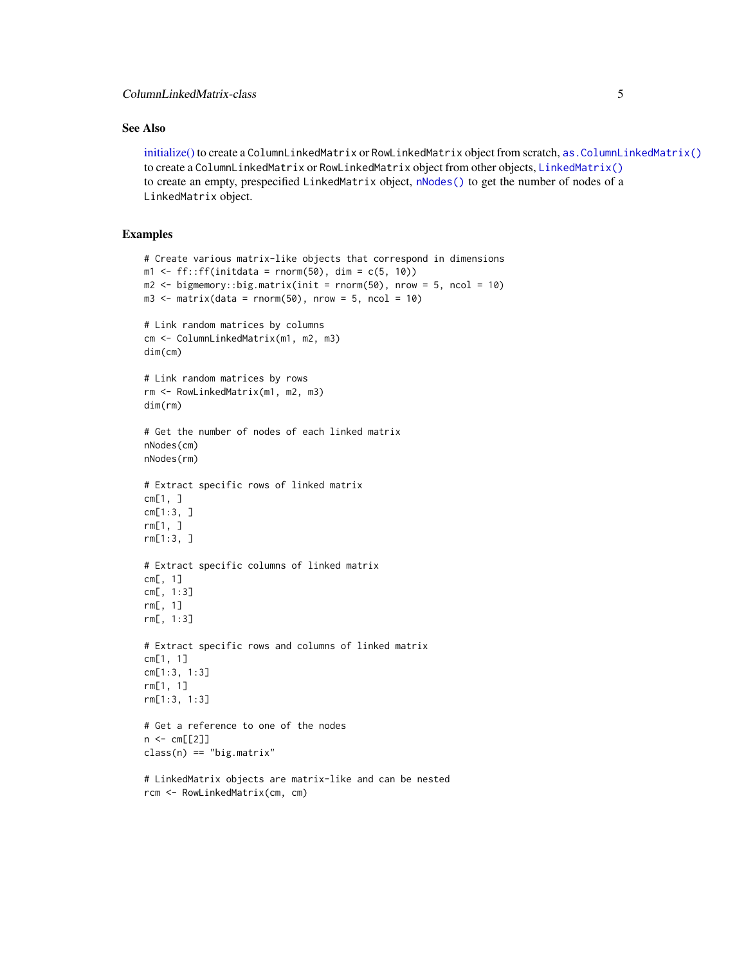### <span id="page-4-0"></span>ColumnLinkedMatrix-class 5

# See Also

[initialize\(\)](#page-5-1) to create a ColumnLinkedMatrix or RowLinkedMatrix object from scratch, [as.ColumnLinkedMatrix\(\)](#page-1-1) to create a ColumnLinkedMatrix or RowLinkedMatrix object from other objects, [LinkedMatrix\(\)](#page-6-1) to create an empty, prespecified LinkedMatrix object, [nNodes\(\)](#page-8-2) to get the number of nodes of a LinkedMatrix object.

### Examples

```
# Create various matrix-like objects that correspond in dimensions
m1 \leq-ff::ff(initdata = rnorm(50), dim = c(5, 10))
m2 \le - bigmemory::big.matrix(init = rnorm(50), nrow = 5, ncol = 10)
m3 \le - matrix(data = rnorm(50), nrow = 5, ncol = 10)
# Link random matrices by columns
cm <- ColumnLinkedMatrix(m1, m2, m3)
dim(cm)
# Link random matrices by rows
rm <- RowLinkedMatrix(m1, m2, m3)
dim(rm)
# Get the number of nodes of each linked matrix
nNodes(cm)
nNodes(rm)
# Extract specific rows of linked matrix
cm[1, 1]cm[1:3, ]
rm[1, ]
rm[1:3, ]
# Extract specific columns of linked matrix
cm[, 1]
cm[, 1:3]
rm[, 1]
rm[, 1:3]
# Extract specific rows and columns of linked matrix
cm[1, 1]
cm[1:3, 1:3]
rm[1, 1]
rm[1:3, 1:3]
# Get a reference to one of the nodes
n < - cm[2]]
class(n) == "big.matrix"# LinkedMatrix objects are matrix-like and can be nested
rcm <- RowLinkedMatrix(cm, cm)
```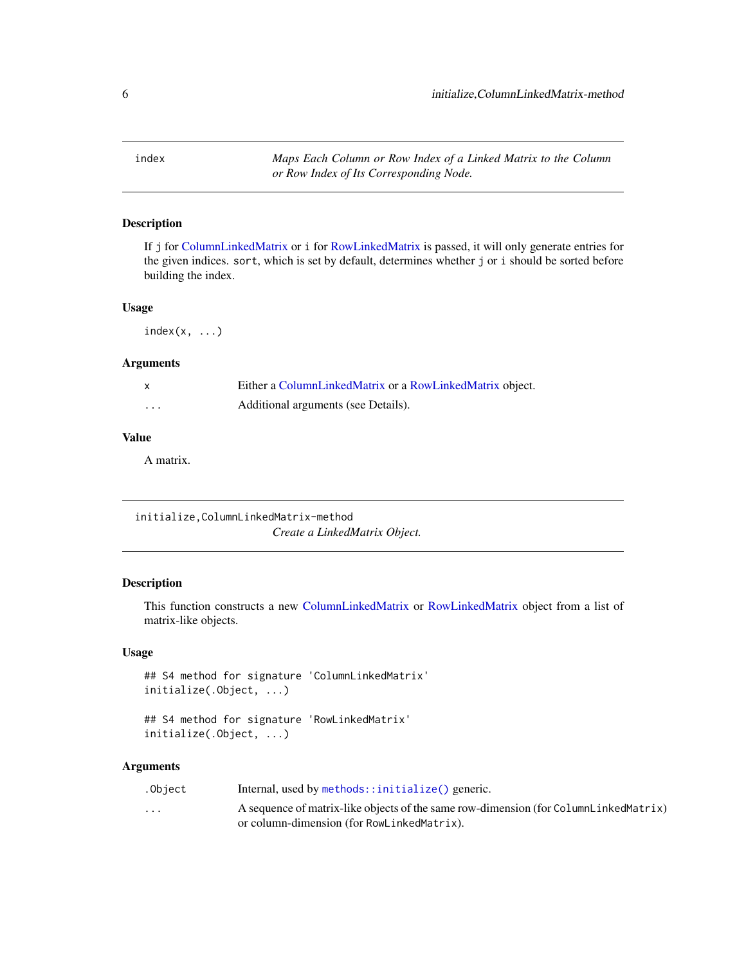<span id="page-5-0"></span>index *Maps Each Column or Row Index of a Linked Matrix to the Column or Row Index of Its Corresponding Node.*

# Description

If j for [ColumnLinkedMatrix](#page-3-1) or i for [RowLinkedMatrix](#page-3-2) is passed, it will only generate entries for the given indices. sort, which is set by default, determines whether j or i should be sorted before building the index.

# Usage

 $index(x, \ldots)$ 

# Arguments

|                         | Either a ColumnLinkedMatrix or a RowLinkedMatrix object. |
|-------------------------|----------------------------------------------------------|
| $\cdot$ $\cdot$ $\cdot$ | Additional arguments (see Details).                      |

# Value

A matrix.

<span id="page-5-1"></span>initialize,ColumnLinkedMatrix-method *Create a LinkedMatrix Object.*

# <span id="page-5-2"></span>Description

This function constructs a new [ColumnLinkedMatrix](#page-3-1) or [RowLinkedMatrix](#page-3-2) object from a list of matrix-like objects.

#### Usage

```
## S4 method for signature 'ColumnLinkedMatrix'
initialize(.Object, ...)
```

```
## S4 method for signature 'RowLinkedMatrix'
initialize(.Object, ...)
```
# Arguments

| .Obiect                 | Internal, used by $\mathsf{methods}$ :: initialize() generic.                        |
|-------------------------|--------------------------------------------------------------------------------------|
| $\cdot$ $\cdot$ $\cdot$ | A sequence of matrix-like objects of the same row-dimension (for ColumnLinkedMatrix) |
|                         | or column-dimension (for RowLinkedMatrix).                                           |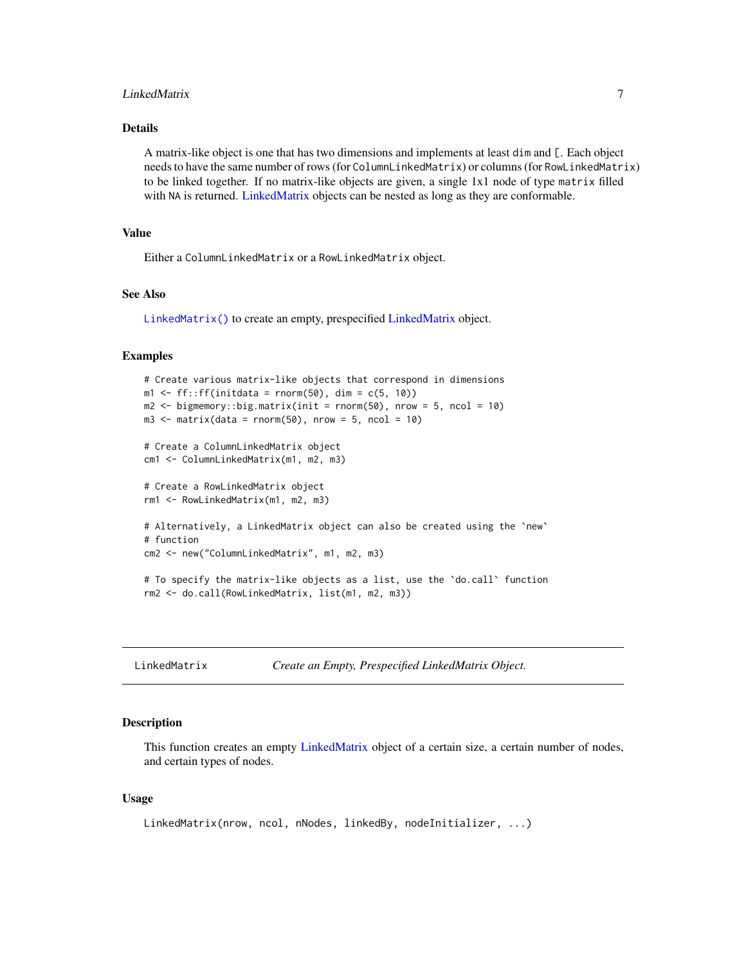# <span id="page-6-0"></span>LinkedMatrix 7

# Details

A matrix-like object is one that has two dimensions and implements at least dim and [. Each object needs to have the same number of rows (for ColumnLinkedMatrix) or columns (for RowLinkedMatrix) to be linked together. If no matrix-like objects are given, a single 1x1 node of type matrix filled with NA is returned. [LinkedMatrix](#page-8-1) objects can be nested as long as they are conformable.

#### Value

Either a ColumnLinkedMatrix or a RowLinkedMatrix object.

# See Also

[LinkedMatrix\(\)](#page-6-1) to create an empty, prespecified [LinkedMatrix](#page-8-1) object.

#### Examples

```
# Create various matrix-like objects that correspond in dimensions
m1 < - ff::ff(initdata = rnorm(50), dim = c(5, 10))
m2 \le - bigmemory::big.matrix(init = rnorm(50), nrow = 5, ncol = 10)
m3 \le - matrix(data = rnorm(50), nrow = 5, ncol = 10)
# Create a ColumnLinkedMatrix object
cm1 <- ColumnLinkedMatrix(m1, m2, m3)
# Create a RowLinkedMatrix object
rm1 <- RowLinkedMatrix(m1, m2, m3)
# Alternatively, a LinkedMatrix object can also be created using the `new`
# function
cm2 <- new("ColumnLinkedMatrix", m1, m2, m3)
# To specify the matrix-like objects as a list, use the `do.call` function
rm2 <- do.call(RowLinkedMatrix, list(m1, m2, m3))
```
<span id="page-6-1"></span>LinkedMatrix *Create an Empty, Prespecified LinkedMatrix Object.*

#### **Description**

This function creates an empty [LinkedMatrix](#page-8-1) object of a certain size, a certain number of nodes, and certain types of nodes.

#### Usage

```
LinkedMatrix(nrow, ncol, nNodes, linkedBy, nodeInitializer, ...)
```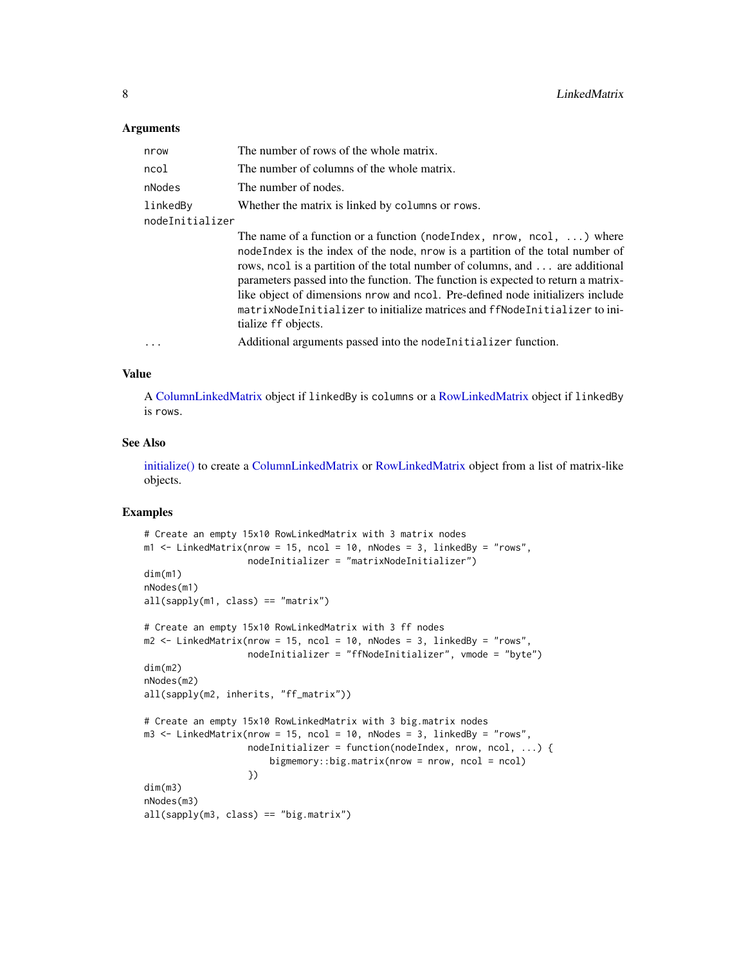#### <span id="page-7-0"></span>Arguments

| nrow            | The number of rows of the whole matrix.                                                                                                                                                                                                                                                                                                                                                                                                                                                                                       |
|-----------------|-------------------------------------------------------------------------------------------------------------------------------------------------------------------------------------------------------------------------------------------------------------------------------------------------------------------------------------------------------------------------------------------------------------------------------------------------------------------------------------------------------------------------------|
| ncol            | The number of columns of the whole matrix.                                                                                                                                                                                                                                                                                                                                                                                                                                                                                    |
| nNodes          | The number of nodes.                                                                                                                                                                                                                                                                                                                                                                                                                                                                                                          |
| linkedBy        | Whether the matrix is linked by columns or rows.                                                                                                                                                                                                                                                                                                                                                                                                                                                                              |
| nodeInitializer |                                                                                                                                                                                                                                                                                                                                                                                                                                                                                                                               |
|                 | The name of a function or a function (node Index, nrow, ncol, $\dots$ ) where<br>node Index is the index of the node, nrow is a partition of the total number of<br>rows, nool is a partition of the total number of columns, and  are additional<br>parameters passed into the function. The function is expected to return a matrix-<br>like object of dimensions nrow and ncol. Pre-defined node initializers include<br>matrixNodeInitializer to initialize matrices and ffNodeInitializer to ini-<br>tialize ff objects. |
|                 | Additional arguments passed into the node Initializer function.                                                                                                                                                                                                                                                                                                                                                                                                                                                               |
|                 |                                                                                                                                                                                                                                                                                                                                                                                                                                                                                                                               |

#### Value

A [ColumnLinkedMatrix](#page-3-1) object if linkedBy is columns or a [RowLinkedMatrix](#page-3-2) object if linkedBy is rows.

# See Also

[initialize\(\)](#page-5-1) to create a [ColumnLinkedMatrix](#page-3-1) or [RowLinkedMatrix](#page-3-2) object from a list of matrix-like objects.

#### Examples

```
# Create an empty 15x10 RowLinkedMatrix with 3 matrix nodes
m1 <- LinkedMatrix(nrow = 15, ncol = 10, nNodes = 3, linkedBy = "rows",
                  nodeInitializer = "matrixNodeInitializer")
dim(m1)
nNodes(m1)
all(sapply(m1, class) == "matrix")# Create an empty 15x10 RowLinkedMatrix with 3 ff nodes
m2 <- LinkedMatrix(nrow = 15, ncol = 10, nNodes = 3, linkedBy = "rows",
                  nodeInitializer = "ffNodeInitializer", vmode = "byte")
dim(m2)
nNodes(m2)
all(sapply(m2, inherits, "ff_matrix"))
# Create an empty 15x10 RowLinkedMatrix with 3 big.matrix nodes
m3 <- LinkedMatrix(nrow = 15, ncol = 10, nNodes = 3, linkedBy = "rows",
                   nodeInitializer = function(nodeIndex, nrow, ncol, ...) {
                       bigmemory::big.matrix(nrow = nrow, ncol = ncol)
                   })
dim(m3)
nNodes(m3)
all(sapply(m3, class) == "big.matrix")
```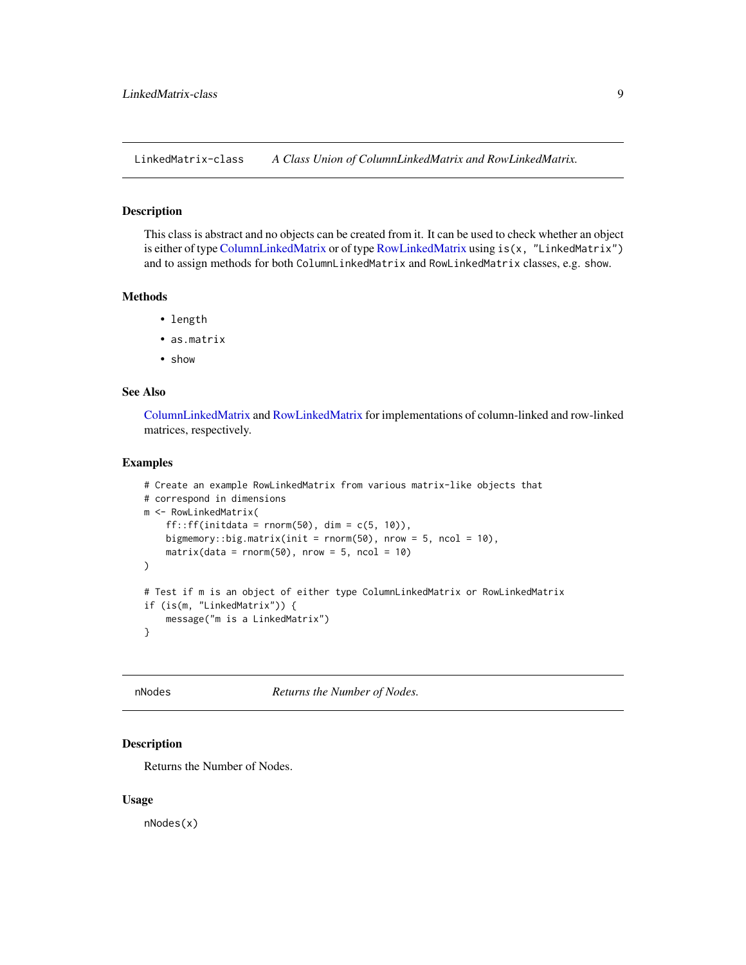<span id="page-8-1"></span><span id="page-8-0"></span>LinkedMatrix-class *A Class Union of ColumnLinkedMatrix and RowLinkedMatrix.*

#### Description

This class is abstract and no objects can be created from it. It can be used to check whether an object is either of type [ColumnLinkedMatrix](#page-3-1) or of type [RowLinkedMatrix](#page-3-2) using is(x, "LinkedMatrix") and to assign methods for both ColumnLinkedMatrix and RowLinkedMatrix classes, e.g. show.

### Methods

- length
- as.matrix
- show

# See Also

[ColumnLinkedMatrix](#page-3-1) and [RowLinkedMatrix](#page-3-2) for implementations of column-linked and row-linked matrices, respectively.

#### Examples

```
# Create an example RowLinkedMatrix from various matrix-like objects that
# correspond in dimensions
m <- RowLinkedMatrix(
    ff::ff(intdata = rnorm(50), dim = c(5, 10)),bigmemory::big.matrix(init = rnorm(50), nrow = 5, ncol = 10),
   matrix(data = rnorm(50), nrow = 5, ncol = 10)
\mathcal{L}# Test if m is an object of either type ColumnLinkedMatrix or RowLinkedMatrix
if (is(m, "LinkedMatrix")) {
   message("m is a LinkedMatrix")
}
```
<span id="page-8-2"></span>nNodes *Returns the Number of Nodes.*

# Description

Returns the Number of Nodes.

#### Usage

nNodes(x)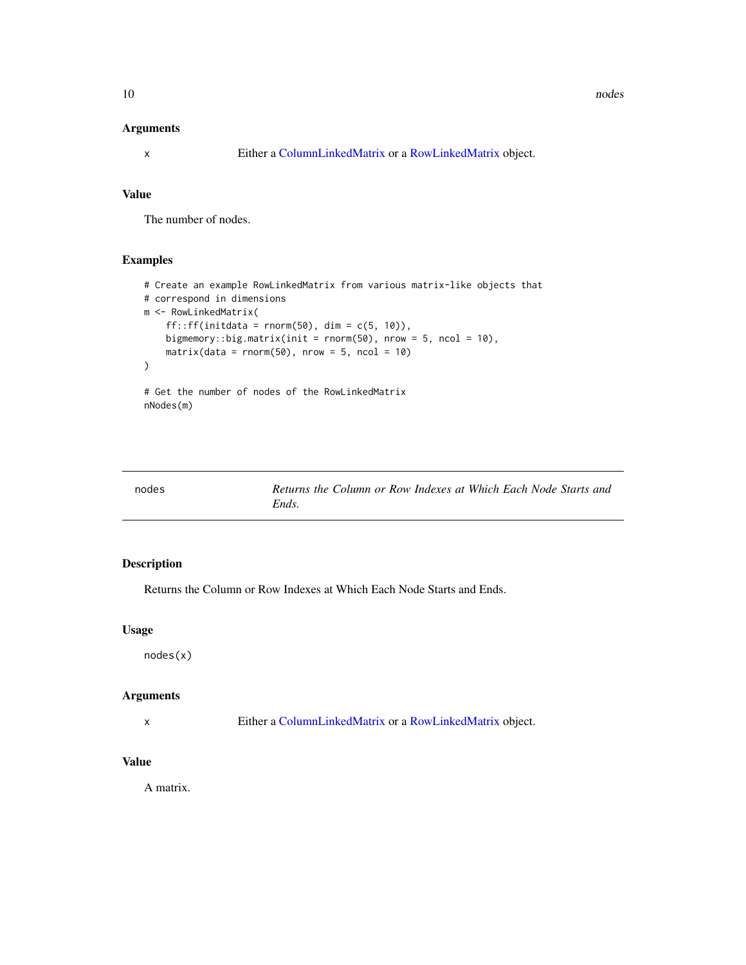# <span id="page-9-0"></span>Arguments

x Either a [ColumnLinkedMatrix](#page-3-1) or a [RowLinkedMatrix](#page-3-2) object.

# Value

The number of nodes.

# Examples

```
# Create an example RowLinkedMatrix from various matrix-like objects that
# correspond in dimensions
m <- RowLinkedMatrix(
    ff::ff(intdata = rnorm(50), dim = c(5, 10)),bigmemory::big.matrix(init = rnorm(50), nrow = 5, ncol = 10),
   matrix(data = rnorm(50), nrow = 5, ncol = 10))
# Get the number of nodes of the RowLinkedMatrix
nNodes(m)
```

| nodes | Returns the Column or Row Indexes at Which Each Node Starts and |
|-------|-----------------------------------------------------------------|
|       | Ends.                                                           |

# Description

Returns the Column or Row Indexes at Which Each Node Starts and Ends.

#### Usage

nodes(x)

# Arguments

x Either a [ColumnLinkedMatrix](#page-3-1) or a [RowLinkedMatrix](#page-3-2) object.

#### Value

A matrix.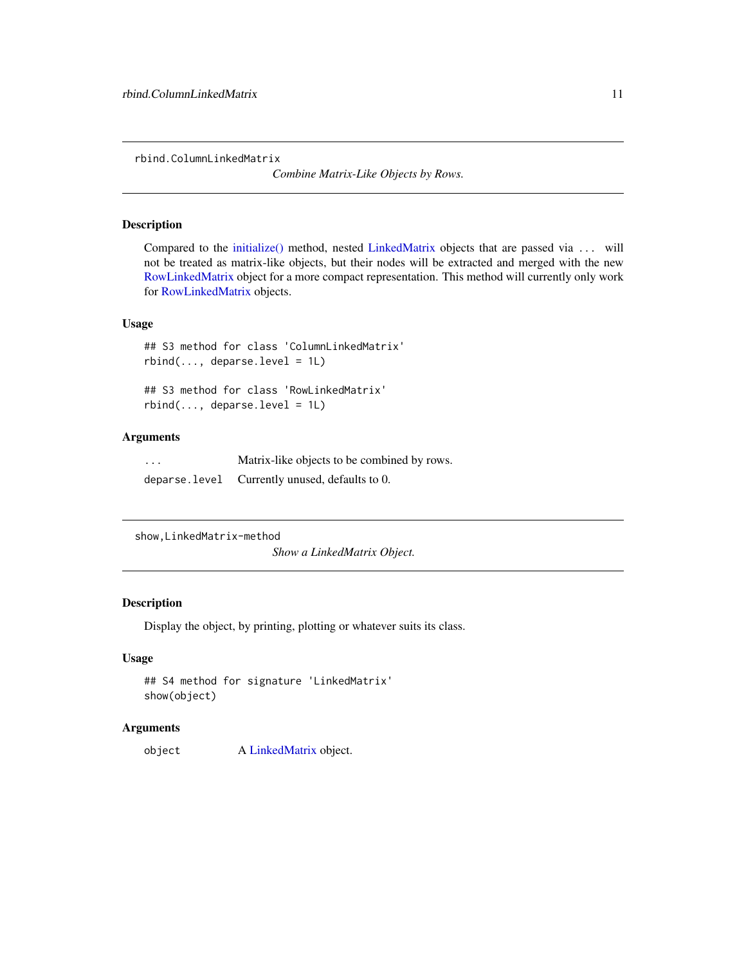<span id="page-10-0"></span>rbind.ColumnLinkedMatrix

*Combine Matrix-Like Objects by Rows.*

#### Description

Compared to the [initialize\(\)](#page-5-2) method, nested [LinkedMatrix](#page-8-1) objects that are passed via ... will not be treated as matrix-like objects, but their nodes will be extracted and merged with the new [RowLinkedMatrix](#page-3-2) object for a more compact representation. This method will currently only work for [RowLinkedMatrix](#page-3-2) objects.

#### Usage

## S3 method for class 'ColumnLinkedMatrix' rbind(..., deparse.level = 1L)

## S3 method for class 'RowLinkedMatrix'  $rbind(..., \text{ deparse. level} = 1L)$ 

# Arguments

... Matrix-like objects to be combined by rows. deparse.level Currently unused, defaults to 0.

```
show,LinkedMatrix-method
```
*Show a LinkedMatrix Object.*

# Description

Display the object, by printing, plotting or whatever suits its class.

#### Usage

```
## S4 method for signature 'LinkedMatrix'
show(object)
```
# Arguments

object A [LinkedMatrix](#page-8-1) object.